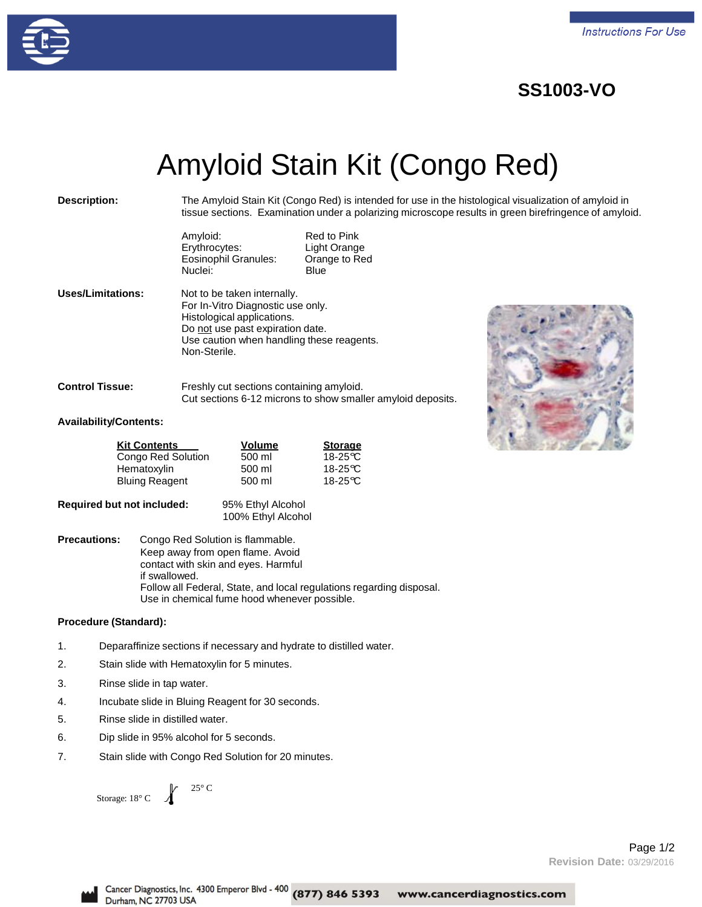

## **SS1003-VO**

# Amyloid Stain Kit (Congo Red)

**Description:** The Amyloid Stain Kit (Congo Red) is intended for use in the histological visualization of amyloid in tissue sections. Examination under a polarizing microscope results in green birefringence of amyloid.

> Amyloid: Red to Pink Erythrocytes: Light Orange Eosinophil Granules: Orange to Red Nuclei:

**Uses/Limitations:** Not to be taken internally. For In-Vitro Diagnostic use only. Histological applications. Do not use past expiration date. Use caution when handling these reagents. Non-Sterile.

**Control Tissue:** Freshly cut sections containing amyloid. Cut sections 6-12 microns to show smaller amyloid deposits.



### **Availability/Contents:**

|        | <b>Storage</b> |
|--------|----------------|
| 500 ml | 18-25°C        |
| 500 ml | 18-25°C        |
| 500 ml | 18-25°C        |
|        | <b>Volume</b>  |

| <b>Required but not included:</b> | 95% Ethyl Alcohol  |
|-----------------------------------|--------------------|
|                                   | 100% Ethyl Alcohol |

**Precautions:** Congo Red Solution is flammable. Keep away from open flame. Avoid contact with skin and eyes. Harmful if swallowed. Follow all Federal, State, and local regulations regarding disposal. Use in chemical fume hood whenever possible.

## **Procedure (Standard):**

- 1. Deparaffinize sections if necessary and hydrate to distilled water.
- 2. Stain slide with Hematoxylin for 5 minutes.
- 3. Rinse slide in tap water.
- 4. Incubate slide in Bluing Reagent for 30 seconds.
- 5. Rinse slide in distilled water.
- 6. Dip slide in 95% alcohol for 5 seconds.
- 7. Stain slide with Congo Red Solution for 20 minutes.

25° C Storage:  $18^\circ \text{C}$  /